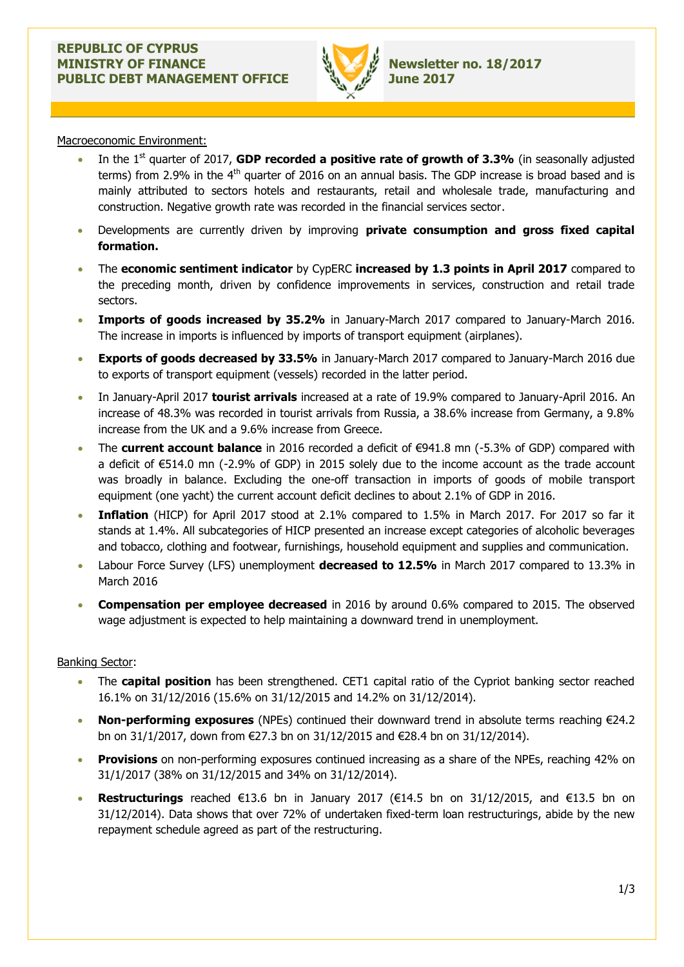

Macroeconomic Environment:

- In the 1<sup>st</sup> quarter of 2017, **GDP recorded a positive rate of growth of 3.3%** (in seasonally adjusted terms) from 2.9% in the  $4<sup>th</sup>$  quarter of 2016 on an annual basis. The GDP increase is broad based and is mainly attributed to sectors hotels and restaurants, retail and wholesale trade, manufacturing and construction. Negative growth rate was recorded in the financial services sector.
- Developments are currently driven by improving **private consumption and gross fixed capital formation.**
- The **economic sentiment indicator** by CypERC **increased by 1.3 points in April 2017** compared to the preceding month, driven by confidence improvements in services, construction and retail trade sectors.
- **Imports of goods increased by 35.2%** in January-March 2017 compared to January-March 2016. The increase in imports is influenced by imports of transport equipment (airplanes).
- **Exports of goods decreased by 33.5%** in January-March 2017 compared to January-March 2016 due to exports of transport equipment (vessels) recorded in the latter period.
- In January-April 2017 **tourist arrivals** increased at a rate of 19.9% compared to January-April 2016. An increase of 48.3% was recorded in tourist arrivals from Russia, a 38.6% increase from Germany, a 9.8% increase from the UK and a 9.6% increase from Greece.
- The **current account balance** in 2016 recorded a deficit of €941.8 mn (-5.3% of GDP) compared with a deficit of €514.0 mn (-2.9% of GDP) in 2015 solely due to the income account as the trade account was broadly in balance. Excluding the one-off transaction in imports of goods of mobile transport equipment (one yacht) the current account deficit declines to about 2.1% of GDP in 2016.
- **Inflation** (HICP) for April 2017 stood at 2.1% compared to 1.5% in March 2017. For 2017 so far it stands at 1.4%. All subcategories of HICP presented an increase except categories of alcoholic beverages and tobacco, clothing and footwear, furnishings, household equipment and supplies and communication.
- Labour Force Survey (LFS) unemployment **decreased to 12.5%** in March 2017 compared to 13.3% in March 2016
- **Compensation per employee decreased** in 2016 by around 0.6% compared to 2015. The observed wage adjustment is expected to help maintaining a downward trend in unemployment.

## Banking Sector:

- The **capital position** has been strengthened. CET1 capital ratio of the Cypriot banking sector reached 16.1% on 31/12/2016 (15.6% on 31/12/2015 and 14.2% on 31/12/2014).
- **Non-performing exposures** (NPEs) continued their downward trend in absolute terms reaching €24.2 bn on 31/1/2017, down from €27.3 bn on 31/12/2015 and €28.4 bn on 31/12/2014).
- **Provisions** on non-performing exposures continued increasing as a share of the NPEs, reaching 42% on 31/1/2017 (38% on 31/12/2015 and 34% on 31/12/2014).
- **Restructurings** reached €13.6 bn in January 2017 (€14.5 bn on 31/12/2015, and €13.5 bn on 31/12/2014). Data shows that over 72% of undertaken fixed-term loan restructurings, abide by the new repayment schedule agreed as part of the restructuring.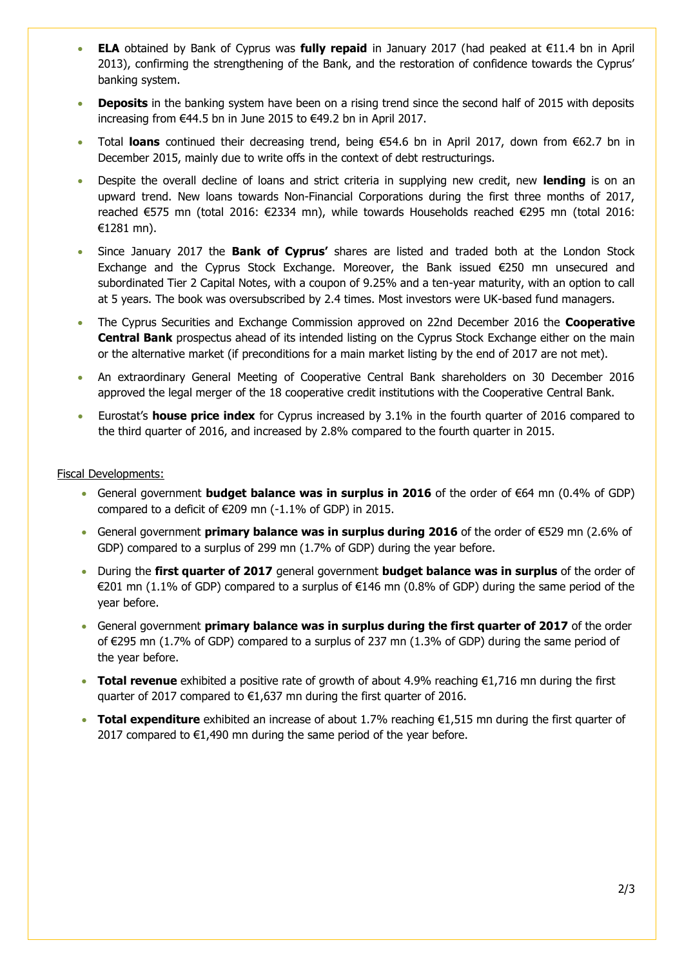- **ELA** obtained by Bank of Cyprus was **fully repaid** in January 2017 (had peaked at €11.4 bn in April 2013), confirming the strengthening of the Bank, and the restoration of confidence towards the Cyprus' banking system.
- **Deposits** in the banking system have been on a rising trend since the second half of 2015 with deposits increasing from €44.5 bn in June 2015 to €49.2 bn in April 2017.
- Total **loans** continued their decreasing trend, being €54.6 bn in April 2017, down from €62.7 bn in December 2015, mainly due to write offs in the context of debt restructurings.
- Despite the overall decline of loans and strict criteria in supplying new credit, new **lending** is on an upward trend. New loans towards Non-Financial Corporations during the first three months of 2017, reached €575 mn (total 2016: €2334 mn), while towards Households reached €295 mn (total 2016: €1281 mn).
- Since January 2017 the **Bank of Cyprus'** shares are listed and traded both at the London Stock Exchange and the Cyprus Stock Exchange. Moreover, the Βank issued €250 mn unsecured and subordinated Tier 2 Capital Notes, with a coupon of 9.25% and a ten-year maturity, with an option to call at 5 years. The book was oversubscribed by 2.4 times. Most investors were UK-based fund managers.
- The Cyprus Securities and Exchange Commission approved on 22nd December 2016 the **Cooperative Central Bank** prospectus ahead of its intended listing on the Cyprus Stock Exchange either on the main or the alternative market (if preconditions for a main market listing by the end of 2017 are not met).
- An extraordinary General Meeting of Cooperative Central Bank shareholders on 30 December 2016 approved the legal merger of the 18 cooperative credit institutions with the Cooperative Central Bank.
- Eurostat's **house price index** for Cyprus increased by 3.1% in the fourth quarter of 2016 compared to the third quarter of 2016, and increased by 2.8% compared to the fourth quarter in 2015.

## Fiscal Developments:

- General government **budget balance was in surplus in 2016** of the order of €64 mn (0.4% of GDP) compared to a deficit of  $\in$  209 mn (-1.1% of GDP) in 2015.
- General government **primary balance was in surplus during 2016** of the order of €529 mn (2.6% of GDP) compared to a surplus of 299 mn (1.7% of GDP) during the year before.
- During the **first quarter of 2017** general government **budget balance was in surplus** of the order of €201 mn (1.1% of GDP) compared to a surplus of €146 mn (0.8% of GDP) during the same period of the year before.
- General government **primary balance was in surplus during the first quarter of 2017** of the order of €295 mn (1.7% of GDP) compared to a surplus of 237 mn (1.3% of GDP) during the same period of the year before.
- **Total revenue** exhibited a positive rate of growth of about 4.9% reaching €1,716 mn during the first quarter of 2017 compared to €1,637 mn during the first quarter of 2016.
- **Total expenditure** exhibited an increase of about 1.7% reaching €1,515 mn during the first quarter of 2017 compared to  $\epsilon$ 1,490 mn during the same period of the year before.